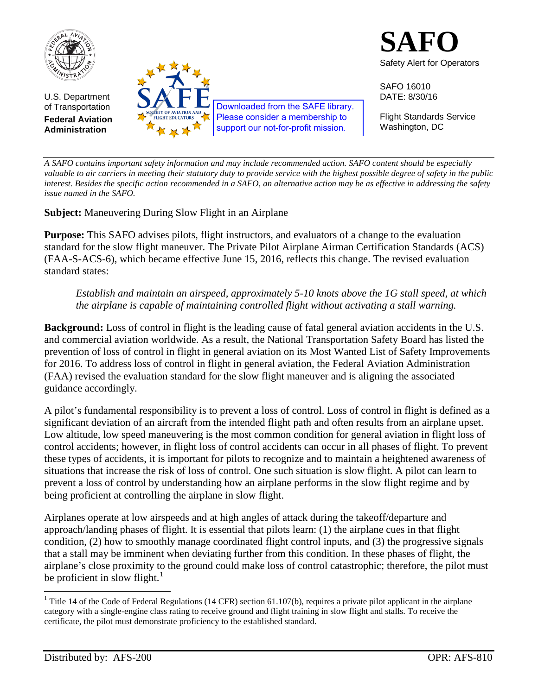



SAFO 16010 DATE: 8/30/16

Flight Standards Service Washington, DC

*A SAFO contains important safety information and may include recommended action. SAFO content should be especially valuable to air carriers in meeting their statutory duty to provide service with the highest possible degree of safety in the public interest. Besides the specific action recommended in a SAFO, an alternative action may be as effective in addressing the safety issue named in the SAFO.*

**Subject:** Maneuvering During Slow Flight in an Airplane

**Purpose:** This SAFO advises pilots, flight instructors, and evaluators of a change to the evaluation standard for the slow flight maneuver. The Private Pilot Airplane Airman Certification Standards (ACS) (FAA-S-ACS-6), which became effective June 15, 2016, reflects this change. The revised evaluation standard states:

*Establish and maintain an airspeed, approximately 5-10 knots above the 1G stall speed, at which the airplane is capable of maintaining controlled flight without activating a stall warning.* 

**Background:** Loss of control in flight is the leading cause of fatal general aviation accidents in the U.S. and commercial aviation worldwide. As a result, the National Transportation Safety Board has listed the prevention of loss of control in flight in general aviation on its Most Wanted List of Safety Improvements for 2016. To address loss of control in flight in general aviation, the Federal Aviation Administration (FAA) revised the evaluation standard for the slow flight maneuver and is aligning the associated guidance accordingly.

A pilot's fundamental responsibility is to prevent a loss of control. Loss of control in flight is defined as a significant deviation of an aircraft from the intended flight path and often results from an airplane upset. Low altitude, low speed maneuvering is the most common condition for general aviation in flight loss of control accidents; however, in flight loss of control accidents can occur in all phases of flight. To prevent these types of accidents, it is important for pilots to recognize and to maintain a heightened awareness of situations that increase the risk of loss of control. One such situation is slow flight. A pilot can learn to prevent a loss of control by understanding how an airplane performs in the slow flight regime and by being proficient at controlling the airplane in slow flight.

Airplanes operate at low airspeeds and at high angles of attack during the takeoff/departure and approach/landing phases of flight. It is essential that pilots learn: (1) the airplane cues in that flight condition, (2) how to smoothly manage coordinated flight control inputs, and (3) the progressive signals that a stall may be imminent when deviating further from this condition. In these phases of flight, the airplane's close proximity to the ground could make loss of control catastrophic; therefore, the pilot must be proficient in slow flight. $\frac{1}{1}$  $\frac{1}{1}$  $\frac{1}{1}$ 

<span id="page-0-0"></span><sup>&</sup>lt;sup>1</sup> Title 14 of the Code of Federal Regulations (14 CFR) section 61.107(b), requires a private pilot applicant in the airplane category with a single-engine class rating to receive ground and flight training in slow flight and stalls. To receive the certificate, the pilot must demonstrate proficiency to the established standard.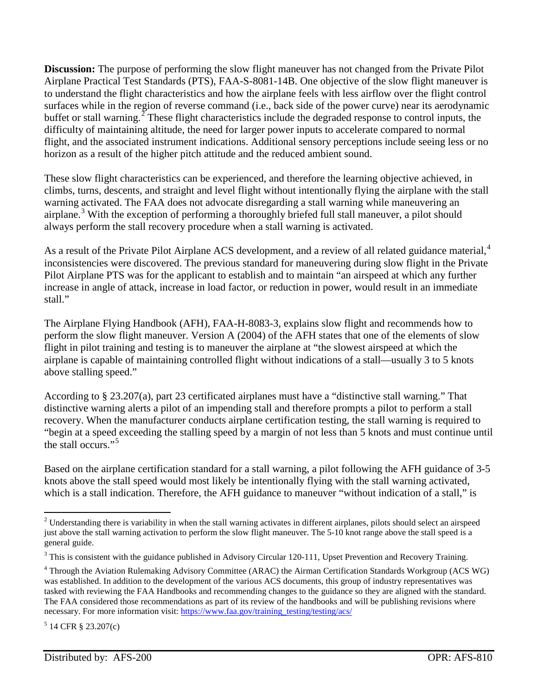**Discussion:** The purpose of performing the slow flight maneuver has not changed from the Private Pilot Airplane Practical Test Standards (PTS), FAA-S-8081-14B. One objective of the slow flight maneuver is to understand the flight characteristics and how the airplane feels with less airflow over the flight control surfaces while in the region of reverse command (i.e., back side of the power curve) near its aerodynamic buffet or stall warning.<sup>[2](#page-1-0)</sup> These flight characteristics include the degraded response to control inputs, the difficulty of maintaining altitude, the need for larger power inputs to accelerate compared to normal flight, and the associated instrument indications. Additional sensory perceptions include seeing less or no horizon as a result of the higher pitch attitude and the reduced ambient sound.

These slow flight characteristics can be experienced, and therefore the learning objective achieved, in climbs, turns, descents, and straight and level flight without intentionally flying the airplane with the stall warning activated. The FAA does not advocate disregarding a stall warning while maneuvering an airplane.<sup>[3](#page-1-1)</sup> With the exception of performing a thoroughly briefed full stall maneuver, a pilot should always perform the stall recovery procedure when a stall warning is activated.

As a result of the Private Pilot Airplane ACS development, and a review of all related guidance material,<sup>[4](#page-1-2)</sup> inconsistencies were discovered. The previous standard for maneuvering during slow flight in the Private Pilot Airplane PTS was for the applicant to establish and to maintain "an airspeed at which any further increase in angle of attack, increase in load factor, or reduction in power, would result in an immediate stall."

The Airplane Flying Handbook (AFH), FAA-H-8083-3, explains slow flight and recommends how to perform the slow flight maneuver. Version A (2004) of the AFH states that one of the elements of slow flight in pilot training and testing is to maneuver the airplane at "the slowest airspeed at which the airplane is capable of maintaining controlled flight without indications of a stall—usually 3 to 5 knots above stalling speed."

According to § 23.207(a), part 23 certificated airplanes must have a "distinctive stall warning." That distinctive warning alerts a pilot of an impending stall and therefore prompts a pilot to perform a stall recovery. When the manufacturer conducts airplane certification testing, the stall warning is required to "begin at a speed exceeding the stalling speed by a margin of not less than 5 knots and must continue until the stall occurs."<sup>[5](#page-1-3)</sup>

Based on the airplane certification standard for a stall warning, a pilot following the AFH guidance of 3-5 knots above the stall speed would most likely be intentionally flying with the stall warning activated, which is a stall indication. Therefore, the AFH guidance to maneuver "without indication of a stall," is

<span id="page-1-0"></span><sup>&</sup>lt;sup>2</sup> Understanding there is variability in when the stall warning activates in different airplanes, pilots should select an airspeed just above the stall warning activation to perform the slow flight maneuver. The 5-10 knot range above the stall speed is a general guide.  $\overline{a}$ 

<span id="page-1-1"></span> $3$  This is consistent with the guidance published in Advisory Circular 120-111, Upset Prevention and Recovery Training.

<span id="page-1-2"></span><sup>4</sup> Through the Aviation Rulemaking Advisory Committee (ARAC) the Airman Certification Standards Workgroup (ACS WG) was established. In addition to the development of the various ACS documents, this group of industry representatives was tasked with reviewing the FAA Handbooks and recommending changes to the guidance so they are aligned with the standard. The FAA considered those recommendations as part of its review of the handbooks and will be publishing revisions where necessary. For more information visit: [https://www.faa.gov/training\\_testing/testing/acs/](https://www.faa.gov/training_testing/testing/acs/)

<span id="page-1-3"></span> $5$  14 CFR § 23.207(c)